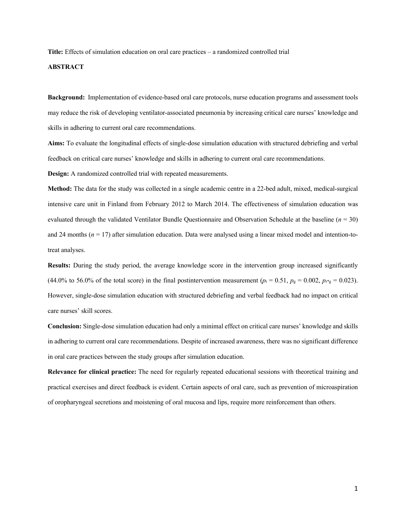**Title:** Effects of simulation education on oral care practices – a randomized controlled trial

# **ABSTRACT**

**Background:** Implementation of evidence-based oral care protocols, nurse education programs and assessment tools may reduce the risk of developing ventilator-associated pneumonia by increasing critical care nurses' knowledge and skills in adhering to current oral care recommendations.

**Aims:** To evaluate the longitudinal effects of single-dose simulation education with structured debriefing and verbal feedback on critical care nurses' knowledge and skills in adhering to current oral care recommendations.

**Design:** A randomized controlled trial with repeated measurements.

**Method:** The data for the study was collected in a single academic centre in a 22-bed adult, mixed, medical-surgical intensive care unit in Finland from February 2012 to March 2014. The effectiveness of simulation education was evaluated through the validated Ventilator Bundle Questionnaire and Observation Schedule at the baseline (*n* = 30) and 24 months  $(n = 17)$  after simulation education. Data were analysed using a linear mixed model and intention-totreat analyses.

**Results:** During the study period, the average knowledge score in the intervention group increased significantly (44.0% to 56.0% of the total score) in the final postintervention measurement ( $p_t = 0.51$ ,  $p_g = 0.002$ ,  $p_t*_g = 0.023$ ). However, single-dose simulation education with structured debriefing and verbal feedback had no impact on critical care nurses' skill scores.

**Conclusion:** Single-dose simulation education had only a minimal effect on critical care nurses' knowledge and skills in adhering to current oral care recommendations. Despite of increased awareness, there was no significant difference in oral care practices between the study groups after simulation education.

**Relevance for clinical practice:** The need for regularly repeated educational sessions with theoretical training and practical exercises and direct feedback is evident. Certain aspects of oral care, such as prevention of microaspiration of oropharyngeal secretions and moistening of oral mucosa and lips, require more reinforcement than others.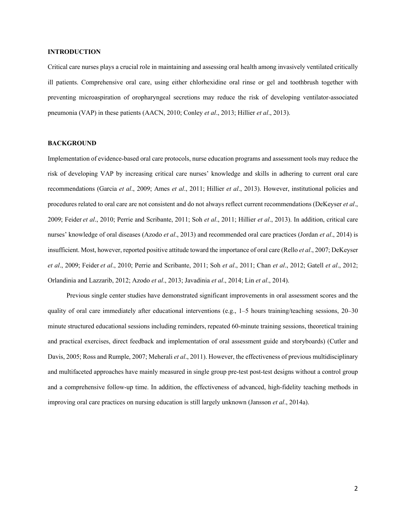# **INTRODUCTION**

Critical care nurses plays a crucial role in maintaining and assessing oral health among invasively ventilated critically ill patients. Comprehensive oral care, using either chlorhexidine oral rinse or gel and toothbrush together with preventing microaspiration of oropharyngeal secretions may reduce the risk of developing ventilator-associated pneumonia (VAP) in these patients (AACN, 2010; Conley *et al*., 2013; Hillier *et al*., 2013).

# **BACKGROUND**

Implementation of evidence-based oral care protocols, nurse education programs and assessment tools may reduce the risk of developing VAP by increasing critical care nurses' knowledge and skills in adhering to current oral care recommendations (Garcia *et al*., 2009; Ames *et al*., 2011; Hillier *et al*., 2013). However, institutional policies and procedures related to oral care are not consistent and do not always reflect current recommendations (DeKeyser *et al*., 2009; Feider *et al*., 2010; Perrie and Scribante, 2011; Soh *et al*., 2011; Hillier *et al*., 2013). In addition, critical care nurses' knowledge of oral diseases (Azodo *et al*., 2013) and recommended oral care practices (Jordan *et al*., 2014) is insufficient. Most, however, reported positive attitude toward the importance of oral care (Rello *et al*., 2007; DeKeyser *et al*., 2009; Feider *et al*., 2010; Perrie and Scribante, 2011; Soh *et al*., 2011; Chan *et al*., 2012; Gatell *et al*., 2012; Orlandinia and Lazzarib, 2012; Azodo *et al*., 2013; Javadinia *et al*., 2014; Lin *et al*., 2014).

Previous single center studies have demonstrated significant improvements in oral assessment scores and the quality of oral care immediately after educational interventions (e.g., 1–5 hours training/teaching sessions, 20–30 minute structured educational sessions including reminders, repeated 60-minute training sessions, theoretical training and practical exercises, direct feedback and implementation of oral assessment guide and storyboards) (Cutler and Davis, 2005; Ross and Rumple, 2007; Meherali *et al*., 2011). However, the effectiveness of previous multidisciplinary and multifaceted approaches have mainly measured in single group pre-test post-test designs without a control group and a comprehensive follow-up time. In addition, the effectiveness of advanced, high-fidelity teaching methods in improving oral care practices on nursing education is still largely unknown (Jansson *et al*., 2014a).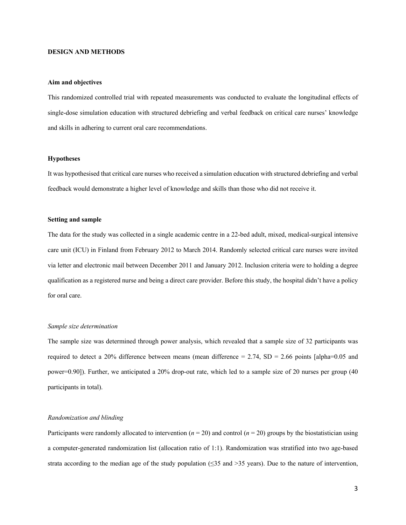# **DESIGN AND METHODS**

#### **Aim and objectives**

This randomized controlled trial with repeated measurements was conducted to evaluate the longitudinal effects of single-dose simulation education with structured debriefing and verbal feedback on critical care nurses' knowledge and skills in adhering to current oral care recommendations.

### **Hypotheses**

It was hypothesised that critical care nurses who received a simulation education with structured debriefing and verbal feedback would demonstrate a higher level of knowledge and skills than those who did not receive it.

### **Setting and sample**

The data for the study was collected in a single academic centre in a 22-bed adult, mixed, medical-surgical intensive care unit (ICU) in Finland from February 2012 to March 2014. Randomly selected critical care nurses were invited via letter and electronic mail between December 2011 and January 2012. Inclusion criteria were to holding a degree qualification as a registered nurse and being a direct care provider. Before this study, the hospital didn't have a policy for oral care.

#### *Sample size determination*

The sample size was determined through power analysis, which revealed that a sample size of 32 participants was required to detect a 20% difference between means (mean difference = 2.74,  $SD = 2.66$  points [alpha=0.05 and power=0.90]). Further, we anticipated a 20% drop-out rate, which led to a sample size of 20 nurses per group (40 participants in total).

# *Randomization and blinding*

Participants were randomly allocated to intervention  $(n = 20)$  and control  $(n = 20)$  groups by the biostatistician using a computer-generated randomization list (allocation ratio of 1:1). Randomization was stratified into two age-based strata according to the median age of the study population ( $\leq$ 35 and  $>$ 35 years). Due to the nature of intervention,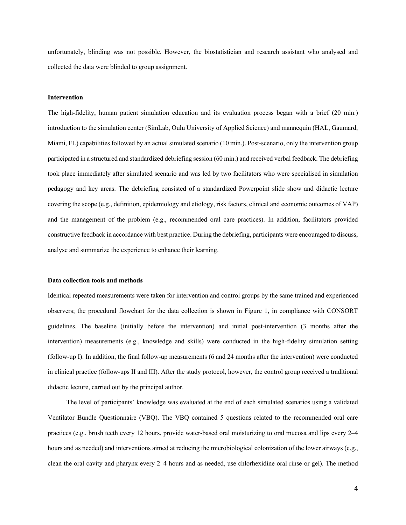unfortunately, blinding was not possible. However, the biostatistician and research assistant who analysed and collected the data were blinded to group assignment.

#### **Intervention**

The high-fidelity, human patient simulation education and its evaluation process began with a brief (20 min.) introduction to the simulation center (SimLab, Oulu University of Applied Science) and mannequin (HAL, Gaumard, Miami, FL) capabilities followed by an actual simulated scenario (10 min.). Post-scenario, only the intervention group participated in a structured and standardized debriefing session (60 min.) and received verbal feedback. The debriefing took place immediately after simulated scenario and was led by two facilitators who were specialised in simulation pedagogy and key areas. The debriefing consisted of a standardized Powerpoint slide show and didactic lecture covering the scope (e.g., definition, epidemiology and etiology, risk factors, clinical and economic outcomes of VAP) and the management of the problem (e.g., recommended oral care practices). In addition, facilitators provided constructive feedback in accordance with best practice. During the debriefing, participants were encouraged to discuss, analyse and summarize the experience to enhance their learning.

### **Data collection tools and methods**

Identical repeated measurements were taken for intervention and control groups by the same trained and experienced observers; the procedural flowchart for the data collection is shown in Figure 1, in compliance with CONSORT guidelines. The baseline (initially before the intervention) and initial post-intervention (3 months after the intervention) measurements (e.g., knowledge and skills) were conducted in the high-fidelity simulation setting (follow-up I). In addition, the final follow-up measurements (6 and 24 months after the intervention) were conducted in clinical practice (follow-ups II and III). After the study protocol, however, the control group received a traditional didactic lecture, carried out by the principal author.

The level of participants' knowledge was evaluated at the end of each simulated scenarios using a validated Ventilator Bundle Questionnaire (VBQ). The VBQ contained 5 questions related to the recommended oral care practices (e.g., brush teeth every 12 hours, provide water-based oral moisturizing to oral mucosa and lips every 2–4 hours and as needed) and interventions aimed at reducing the microbiological colonization of the lower airways (e.g., clean the oral cavity and pharynx every 2–4 hours and as needed, use chlorhexidine oral rinse or gel). The method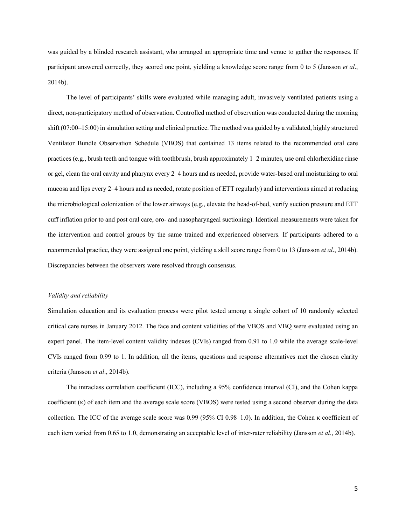was guided by a blinded research assistant, who arranged an appropriate time and venue to gather the responses. If participant answered correctly, they scored one point, yielding a knowledge score range from 0 to 5 (Jansson *et al*., 2014b).

The level of participants' skills were evaluated while managing adult, invasively ventilated patients using a direct, non-participatory method of observation. Controlled method of observation was conducted during the morning shift (07:00–15:00) in simulation setting and clinical practice. The method was guided by a validated, highly structured Ventilator Bundle Observation Schedule (VBOS) that contained 13 items related to the recommended oral care practices (e.g., brush teeth and tongue with toothbrush, brush approximately 1–2 minutes, use oral chlorhexidine rinse or gel, clean the oral cavity and pharynx every 2–4 hours and as needed, provide water-based oral moisturizing to oral mucosa and lips every 2–4 hours and as needed, rotate position of ETT regularly) and interventions aimed at reducing the microbiological colonization of the lower airways (e.g., elevate the head-of-bed, verify suction pressure and ETT cuff inflation prior to and post oral care, oro- and nasopharyngeal suctioning). Identical measurements were taken for the intervention and control groups by the same trained and experienced observers. If participants adhered to a recommended practice, they were assigned one point, yielding a skill score range from 0 to 13 (Jansson *et al*., 2014b). Discrepancies between the observers were resolved through consensus.

### *Validity and reliability*

Simulation education and its evaluation process were pilot tested among a single cohort of 10 randomly selected critical care nurses in January 2012. The face and content validities of the VBOS and VBQ were evaluated using an expert panel. The item-level content validity indexes (CVIs) ranged from 0.91 to 1.0 while the average scale-level CVIs ranged from 0.99 to 1. In addition, all the items, questions and response alternatives met the chosen clarity criteria (Jansson *et al*., 2014b).

The intraclass correlation coefficient (ICC), including a 95% confidence interval (CI), and the Cohen kappa coefficient (κ) of each item and the average scale score (VBOS) were tested using a second observer during the data collection. The ICC of the average scale score was 0.99 (95% CI 0.98–1.0). In addition, the Cohen κ coefficient of each item varied from 0.65 to 1.0, demonstrating an acceptable level of inter-rater reliability (Jansson *et al*., 2014b).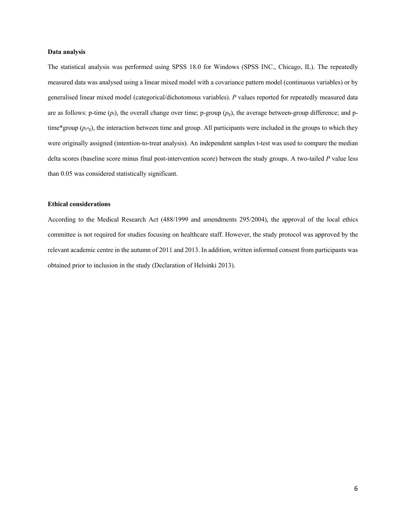### **Data analysis**

The statistical analysis was performed using SPSS 18.0 for Windows (SPSS INC., Chicago, IL). The repeatedly measured data was analysed using a linear mixed model with a covariance pattern model (continuous variables) or by generalised linear mixed model (categorical/dichotomous variables). *P* values reported for repeatedly measured data are as follows: p-time  $(p_t)$ , the overall change over time; p-group  $(p_g)$ , the average between-group difference; and ptime\*group (*pt\**g), the interaction between time and group. All participants were included in the groups to which they were originally assigned (intention-to-treat analysis). An independent samples t-test was used to compare the median delta scores (baseline score minus final post-intervention score) between the study groups. A two-tailed *P* value less than 0.05 was considered statistically significant.

# **Ethical considerations**

According to the Medical Research Act (488/1999 and amendments 295/2004), the approval of the local ethics committee is not required for studies focusing on healthcare staff. However, the study protocol was approved by the relevant academic centre in the autumn of 2011 and 2013. In addition, written informed consent from participants was obtained prior to inclusion in the study (Declaration of Helsinki 2013).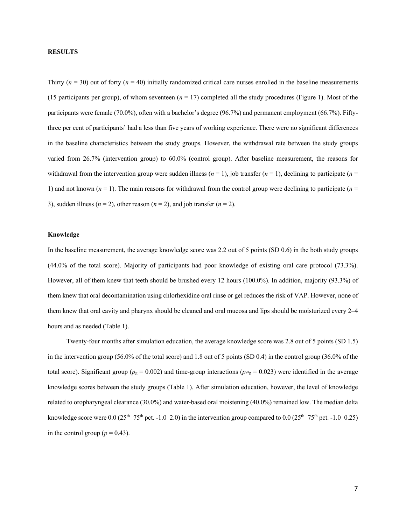# **RESULTS**

Thirty  $(n = 30)$  out of forty  $(n = 40)$  initially randomized critical care nurses enrolled in the baseline measurements (15 participants per group), of whom seventeen  $(n = 17)$  completed all the study procedures (Figure 1). Most of the participants were female (70.0%), often with a bachelor's degree (96.7%) and permanent employment (66.7%). Fiftythree per cent of participants' had a less than five years of working experience. There were no significant differences in the baseline characteristics between the study groups*.* However, the withdrawal rate between the study groups varied from 26.7% (intervention group) to 60.0% (control group). After baseline measurement, the reasons for withdrawal from the intervention group were sudden illness  $(n = 1)$ , job transfer  $(n = 1)$ , declining to participate  $(n = 1)$ 1) and not known  $(n = 1)$ . The main reasons for withdrawal from the control group were declining to participate  $(n = 1)$ 3), sudden illness  $(n = 2)$ , other reason  $(n = 2)$ , and job transfer  $(n = 2)$ .

### **Knowledge**

In the baseline measurement, the average knowledge score was 2.2 out of 5 points (SD 0.6) in the both study groups (44.0% of the total score). Majority of participants had poor knowledge of existing oral care protocol (73.3%). However, all of them knew that teeth should be brushed every 12 hours (100.0%). In addition, majority (93.3%) of them knew that oral decontamination using chlorhexidine oral rinse or gel reduces the risk of VAP. However, none of them knew that oral cavity and pharynx should be cleaned and oral mucosa and lips should be moisturized every 2–4 hours and as needed (Table 1).

Twenty-four months after simulation education, the average knowledge score was 2.8 out of 5 points (SD 1.5) in the intervention group (56.0% of the total score) and 1.8 out of 5 points (SD 0.4) in the control group (36.0% of the total score). Significant group ( $p_g = 0.002$ ) and time-group interactions ( $p_{t^*g} = 0.023$ ) were identified in the average knowledge scores between the study groups (Table 1). After simulation education, however, the level of knowledge related to oropharyngeal clearance (30.0%) and water-based oral moistening (40.0%) remained low. The median delta knowledge score were 0.0 ( $25<sup>th</sup>-75<sup>th</sup>$  pct. -1.0–2.0) in the intervention group compared to 0.0 ( $25<sup>th</sup>-75<sup>th</sup>$  pct. -1.0–0.25) in the control group ( $p = 0.43$ ).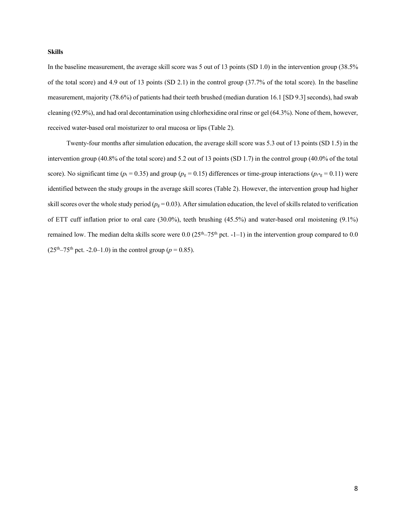# **Skills**

In the baseline measurement, the average skill score was 5 out of 13 points (SD 1.0) in the intervention group (38.5% of the total score) and 4.9 out of 13 points (SD 2.1) in the control group (37.7% of the total score). In the baseline measurement, majority (78.6%) of patients had their teeth brushed (median duration 16.1 [SD 9.3] seconds), had swab cleaning (92.9%), and had oral decontamination using chlorhexidine oral rinse or gel (64.3%). None of them, however, received water-based oral moisturizer to oral mucosa or lips (Table 2).

Twenty-four months after simulation education, the average skill score was 5.3 out of 13 points (SD 1.5) in the intervention group (40.8% of the total score) and 5.2 out of 13 points (SD 1.7) in the control group (40.0% of the total score). No significant time ( $p_t$  = 0.35) and group ( $p_g$  = 0.15) differences or time-group interactions ( $p_t$ <sup>\*</sup>g = 0.11) were identified between the study groups in the average skill scores (Table 2). However, the intervention group had higher skill scores over the whole study period ( $p<sub>g</sub> = 0.03$ ). After simulation education, the level of skills related to verification of ETT cuff inflation prior to oral care (30.0%), teeth brushing (45.5%) and water-based oral moistening (9.1%) remained low. The median delta skills score were  $0.0$  ( $25<sup>th</sup>-75<sup>th</sup>$  pct. -1-1) in the intervention group compared to 0.0  $(25<sup>th</sup> - 75<sup>th</sup>$  pct. -2.0–1.0) in the control group ( $p = 0.85$ ).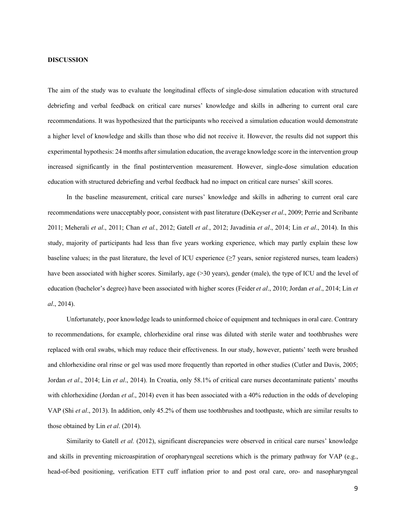# **DISCUSSION**

The aim of the study was to evaluate the longitudinal effects of single-dose simulation education with structured debriefing and verbal feedback on critical care nurses' knowledge and skills in adhering to current oral care recommendations. It was hypothesized that the participants who received a simulation education would demonstrate a higher level of knowledge and skills than those who did not receive it. However, the results did not support this experimental hypothesis: 24 months after simulation education, the average knowledge score in the intervention group increased significantly in the final postintervention measurement. However, single-dose simulation education education with structured debriefing and verbal feedback had no impact on critical care nurses' skill scores.

In the baseline measurement, critical care nurses' knowledge and skills in adhering to current oral care recommendations were unacceptably poor, consistent with past literature (DeKeyser *et al*., 2009; Perrie and Scribante 2011; Meherali *et al*., 2011; Chan *et al.*, 2012; Gatell *et al.*, 2012; Javadinia *et al*., 2014; Lin *et al*., 2014). In this study, majority of participants had less than five years working experience, which may partly explain these low baseline values; in the past literature, the level of ICU experience  $(\geq 7)$  years, senior registered nurses, team leaders) have been associated with higher scores. Similarly, age (>30 years), gender (male), the type of ICU and the level of education (bachelor's degree) have been associated with higher scores (Feider *et al*., 2010; Jordan *et al*., 2014; Lin *et al*., 2014).

Unfortunately, poor knowledge leads to uninformed choice of equipment and techniques in oral care. Contrary to recommendations, for example, chlorhexidine oral rinse was diluted with sterile water and toothbrushes were replaced with oral swabs, which may reduce their effectiveness. In our study, however, patients' teeth were brushed and chlorhexidine oral rinse or gel was used more frequently than reported in other studies (Cutler and Davis, 2005; Jordan *et al*., 2014; Lin *et al*., 2014). In Croatia, only 58.1% of critical care nurses decontaminate patients' mouths with chlorhexidine (Jordan *et al.*, 2014) even it has been associated with a 40% reduction in the odds of developing VAP (Shi *et al*., 2013). In addition, only 45.2% of them use toothbrushes and toothpaste, which are similar results to those obtained by Lin *et al*. (2014).

Similarity to Gatell *et al.* (2012), significant discrepancies were observed in critical care nurses' knowledge and skills in preventing microaspiration of oropharyngeal secretions which is the primary pathway for VAP (e.g., head-of-bed positioning, verification ETT cuff inflation prior to and post oral care, oro- and nasopharyngeal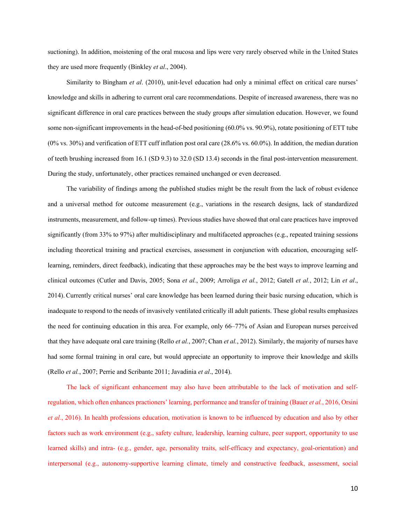suctioning). In addition, moistening of the oral mucosa and lips were very rarely observed while in the United States they are used more frequently (Binkley *et al*., 2004).

Similarity to Bingham *et al*. (2010), unit-level education had only a minimal effect on critical care nurses' knowledge and skills in adhering to current oral care recommendations. Despite of increased awareness, there was no significant difference in oral care practices between the study groups after simulation education. However, we found some non-significant improvements in the head-of-bed positioning (60.0% vs. 90.9%), rotate positioning of ETT tube (0% vs. 30%) and verification of ETT cuff inflation post oral care (28.6% vs. 60.0%). In addition, the median duration of teeth brushing increased from 16.1 (SD 9.3) to 32.0 (SD 13.4) seconds in the final post-intervention measurement. During the study, unfortunately, other practices remained unchanged or even decreased.

The variability of findings among the published studies might be the result from the lack of robust evidence and a universal method for outcome measurement (e.g., variations in the research designs, lack of standardized instruments, measurement, and follow-up times). Previous studies have showed that oral care practices have improved significantly (from 33% to 97%) after multidisciplinary and multifaceted approaches (e.g., repeated training sessions including theoretical training and practical exercises, assessment in conjunction with education, encouraging selflearning, reminders, direct feedback), indicating that these approaches may be the best ways to improve learning and clinical outcomes (Cutler and Davis, 2005; Sona *et al.*, 2009; Arroliga *et al.*, 2012; Gatell *et al.*, 2012; Lin *et al*., 2014). Currently critical nurses' oral care knowledge has been learned during their basic nursing education, which is inadequate to respond to the needs of invasively ventilated critically ill adult patients. These global results emphasizes the need for continuing education in this area. For example, only 66–77% of Asian and European nurses perceived that they have adequate oral care training (Rello *et al.*, 2007; Chan *et al.*, 2012). Similarly, the majority of nurses have had some formal training in oral care, but would appreciate an opportunity to improve their knowledge and skills (Rello *et al.*, 2007; Perrie and Scribante 2011; Javadinia *et al*., 2014).

The lack of significant enhancement may also have been attributable to the lack of motivation and selfregulation, which often enhances practioners' learning, performance and transfer of training (Bauer *et al.*, 2016, Orsini *et al.*, 2016). In health professions education, motivation is known to be influenced by education and also by other factors such as work environment (e.g., safety culture, leadership, learning culture, peer support, opportunity to use learned skills) and intra- (e.g., gender, age, personality traits, self-efficacy and expectancy, goal-orientation) and interpersonal (e.g., autonomy-supportive learning climate, timely and constructive feedback, assessment, social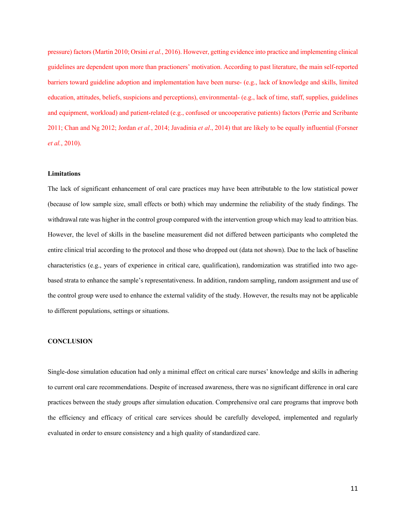pressure) factors (Martin 2010; Orsini *et al.*, 2016). However, getting evidence into practice and implementing clinical guidelines are dependent upon more than practioners' motivation. According to past literature, the main self-reported barriers toward guideline adoption and implementation have been nurse- (e.g., lack of knowledge and skills, limited education, attitudes, beliefs, suspicions and perceptions), environmental- (e.g., lack of time, staff, supplies, guidelines and equipment, workload) and patient-related (e.g., confused or uncooperative patients) factors (Perrie and Scribante 2011; Chan and Ng 2012; Jordan *et al.*, 2014; Javadinia *et al*., 2014) that are likely to be equally influential (Forsner *et al.*, 2010).

### **Limitations**

The lack of significant enhancement of oral care practices may have been attributable to the low statistical power (because of low sample size, small effects or both) which may undermine the reliability of the study findings. The withdrawal rate was higher in the control group compared with the intervention group which may lead to attrition bias. However, the level of skills in the baseline measurement did not differed between participants who completed the entire clinical trial according to the protocol and those who dropped out (data not shown). Due to the lack of baseline characteristics (e.g., years of experience in critical care, qualification), randomization was stratified into two agebased strata to enhance the sample's representativeness. In addition, random sampling, random assignment and use of the control group were used to enhance the external validity of the study. However, the results may not be applicable to different populations, settings or situations.

### **CONCLUSION**

Single-dose simulation education had only a minimal effect on critical care nurses' knowledge and skills in adhering to current oral care recommendations. Despite of increased awareness, there was no significant difference in oral care practices between the study groups after simulation education. Comprehensive oral care programs that improve both the efficiency and efficacy of critical care services should be carefully developed, implemented and regularly evaluated in order to ensure consistency and a high quality of standardized care.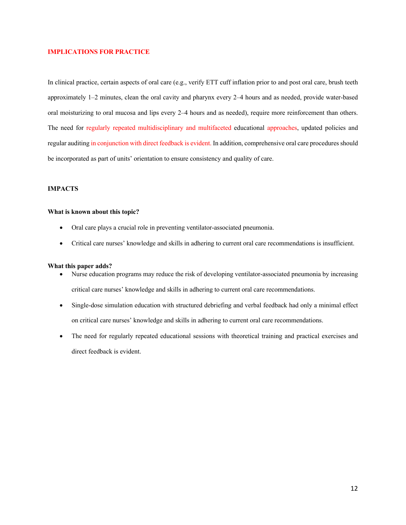# **IMPLICATIONS FOR PRACTICE**

In clinical practice, certain aspects of oral care (e.g., verify ETT cuff inflation prior to and post oral care, brush teeth approximately 1–2 minutes, clean the oral cavity and pharynx every 2–4 hours and as needed, provide water-based oral moisturizing to oral mucosa and lips every 2–4 hours and as needed), require more reinforcement than others. The need for regularly repeated multidisciplinary and multifaceted educational approaches, updated policies and regular auditing in conjunction with direct feedback is evident. In addition, comprehensive oral care procedures should be incorporated as part of units' orientation to ensure consistency and quality of care.

#### **IMPACTS**

# **What is known about this topic?**

- Oral care plays a crucial role in preventing ventilator-associated pneumonia.
- Critical care nurses' knowledge and skills in adhering to current oral care recommendations is insufficient.

### **What this paper adds?**

- Nurse education programs may reduce the risk of developing ventilator-associated pneumonia by increasing critical care nurses' knowledge and skills in adhering to current oral care recommendations.
- Single-dose simulation education with structured debriefing and verbal feedback had only a minimal effect on critical care nurses' knowledge and skills in adhering to current oral care recommendations.
- The need for regularly repeated educational sessions with theoretical training and practical exercises and direct feedback is evident.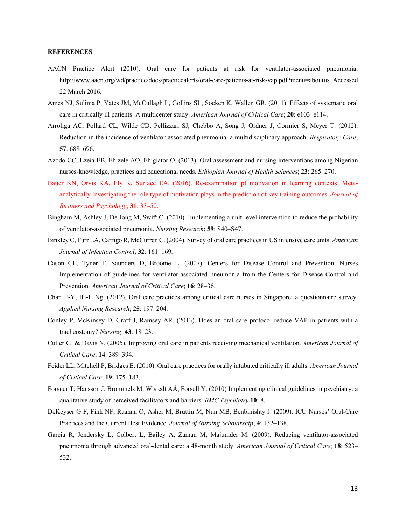# **REFERENCES**

- AACN Practice Alert (2010). Oral care for patients at risk for ventilator-associated pneumonia. http://www.aacn.org/wd/practice/docs/practicealerts/oral-care-patients-at-risk-vap.pdf?menu=aboutus Accessed 22 March 2016.
- Ames NJ, Sulima P, Yates JM, McCullagh L, Gollins SL, Soeken K, Wallen GR. (2011). Effects of systematic oral care in critically ill patients: A multicenter study. *American Journal of Critical Care*; **20**: e103–e114.
- Arroliga AC, Pollard CL, Wilde CD, Pellizzari SJ, Chebbo A, Song J, Ordner J, Cormier S, Meyer T. (2012). Reduction in the incidence of ventilator-associated pneumonia: a multidisciplinary approach. *Respiratory Care*; **57**: 688–696.
- Azodo CC, Ezeia EB, Ehizele AO, Ehigiator O. (2013). Oral assessment and nursing interventions among Nigerian nurses-knowledge, practices and educational needs. *Ethiopian Journal of Health Sciences*; **23**: 265–270.
- Bauer KN, Orvis KA, Ely K, Surface EA. (2016). Re-examination pf motivation in learning contexts: Metaanalytically Investigating the role type of motivation plays in the prediction of key training outcomes. *Journal of Business and Psychology*; **31**: 33–50.
- Bingham M, Ashley J, De Jong M, Swift C. (2010). Implementing a unit-level intervention to reduce the probability of ventilator-associated pneumonia. *Nursing Research*; **59**: S40–S47.
- Binkley C, Furr LA, Carrigo R, McCurren C. (2004). Survey of oral care practices in US intensive care units. *American Journal of Infection Control*; **32**: 161–169.
- Cason CL, Tyner T, Saunders D, Broome L. (2007). Centers for Disease Control and Prevention. Nurses Implementation of guidelines for ventilator-associated pneumonia from the Centers for Disease Control and Prevention. *American Journal of Critical Care*; **16**: 28–36.
- Chan E-Y, IH-L Ng. (2012). Oral care practices among critical care nurses in Singapore: a questionnaire survey. *Applied Nursing Research*; **25**: 197–204.
- Conley P, McKinsey D, Graff J, Ramsey AR. (2013). Does an oral care protocol reduce VAP in patients with a tracheostomy? *Nursing*; **43**: 18–23.
- Cutler CJ & Davis N. (2005). Improving oral care in patients receiving mechanical ventilation. *American Journal of Critical Care*; **14**: 389–394.
- Feider LL, Mitchell P, Bridges E. (2010). Oral care practices for orally intubated critically ill adults. *American Journal of Critical Care*; **19**: 175–183.
- Forsner T, Hansson J, Brommels M, Wistedt AÅ, Forsell Y. (2010) Implementing clinical guidelines in psychiatry: a qualitative study of perceived facilitators and barriers. *BMC Psychiatry* **10**: 8.
- DeKeyser G F, Fink NF, Raanan O, Asher M, Bruttin M, Nun MB, Benbinishty J. (2009). ICU Nurses' Oral-Care Practices and the Current Best Evidence. *Journal of Nursing Scholarship*; **4**: 132–138.
- Garcia R, Jendersky L, Colbert L, Bailey A, Zaman M, Majumder M. (2009). Reducing ventilator-associated pneumonia through advanced oral-dental care: a 48-month study. *American Journal of Critical Care*; **18**: 523– 532.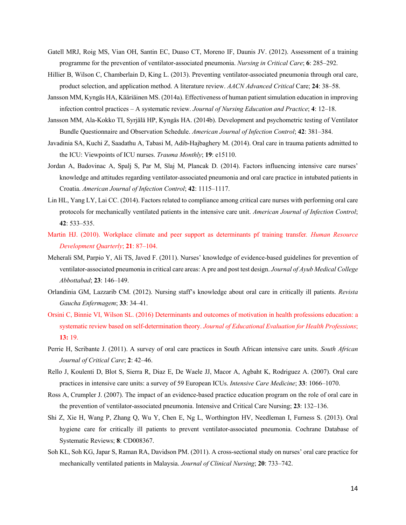- Gatell MRJ, Roig MS, Vian OH, Santin EC, Duaso CT, Moreno IF, Daunis JV. (2012). Assessment of a training programme for the prevention of ventilator-associated pneumonia. *Nursing in Critical Care*; **6**: 285–292.
- Hillier B, Wilson C, Chamberlain D, King L. (2013). Preventing ventilator-associated pneumonia through oral care, product selection, and application method. A literature review. *AACN Advanced Critical* Care; **24**: 38–58.
- Jansson MM, Kyngäs HA, Kääriäinen MS. (2014a). Effectiveness of human patient simulation education in improving infection control practices – A systematic review. *Journal of Nursing Education and Practice*; **4**: 12–18.
- Jansson MM, Ala-Kokko TI, Syrjälä HP, Kyngäs HA. (2014b). Development and psychometric testing of Ventilator Bundle Questionnaire and Observation Schedule. *American Journal of Infection Control*; **42**: 381–384.
- Javadinia SA, Kuchi Z, Saadathu A, Tabasi M, Adib-Hajbaghery M. (2014). Oral care in trauma patients admitted to the ICU: Viewpoints of ICU nurses. *Trauma Monthly*; **19**: e15110.
- Jordan A, Badovinac A, Spalj S, Par M, Slaj M, Plancak D. (2014). Factors influencing intensive care nurses' knowledge and attitudes regarding ventilator-associated pneumonia and oral care practice in intubated patients in Croatia. *American Journal of Infection Control*; **42**: 1115–1117.
- Lin HL, Yang LY, Lai CC. (2014). Factors related to compliance among critical care nurses with performing oral care protocols for mechanically ventilated patients in the intensive care unit. *American Journal of Infection Control*; **42**: 533–535.
- Martin HJ. (2010). Workplace climate and peer support as determinants pf training transfer*. Human Resource Development Quarterly*; **21**: 87–104.
- Meherali SM, Parpio Y, Ali TS, Javed F. (2011). Nurses' knowledge of evidence-based guidelines for prevention of ventilator-associated pneumonia in critical care areas: A pre and post test design. *Journal of Ayub Medical College Abbottabad*; **23**: 146–149.
- Orlandinia GM, Lazzarib CM. (2012). Nursing staff's knowledge about oral care in critically ill patients. *Revista Gaucha Enfermagem*; **33**: 34–41.
- Orsini C, Binnie VI, Wilson SL. (2016) Determinants and outcomes of motivation in health professions education: a systematic review based on self-determination theory. *Journal of Educational Evaluation for Health Professions*; **13:** 19.
- Perrie H, Scribante J. (2011). A survey of oral care practices in South African intensive care units. *South African Journal of Critical Care*; **2**: 42–46.
- Rello J, Koulenti D, Blot S, Sierra R, Diaz E, De Waele JJ, Macor A, Agbaht K, Rodriguez A. (2007). Oral care practices in intensive care units: a survey of 59 European ICUs. *Intensive Care Medicine*; **33**: 1066–1070.
- Ross A, Crumpler J. (2007). The impact of an evidence-based practice education program on the role of oral care in the prevention of ventilator-associated pneumonia. Intensive and Critical Care Nursing; **23**: 132–136.
- Shi Z, Xie H, Wang P, Zhang Q, Wu Y, Chen E, Ng L, Worthington HV, Needleman I, Furness S. (2013). Oral hygiene care for critically ill patients to prevent ventilator-associated pneumonia. Cochrane Database of Systematic Reviews; **8**: CD008367.
- Soh KL, Soh KG, Japar S, Raman RA, Davidson PM. (2011). A cross-sectional study on nurses' oral care practice for mechanically ventilated patients in Malaysia. *Journal of Clinical Nursing*; **20**: 733–742.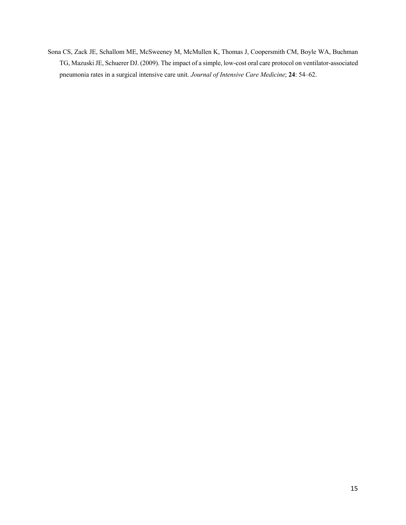Sona CS, Zack JE, Schallom ME, McSweeney M, McMullen K, Thomas J, Coopersmith CM, Boyle WA, Buchman TG, Mazuski JE, Schuerer DJ. (2009). The impact of a simple, low-cost oral care protocol on ventilator-associated pneumonia rates in a surgical intensive care unit. *Journal of Intensive Care Medicine*; **24**: 54–62.